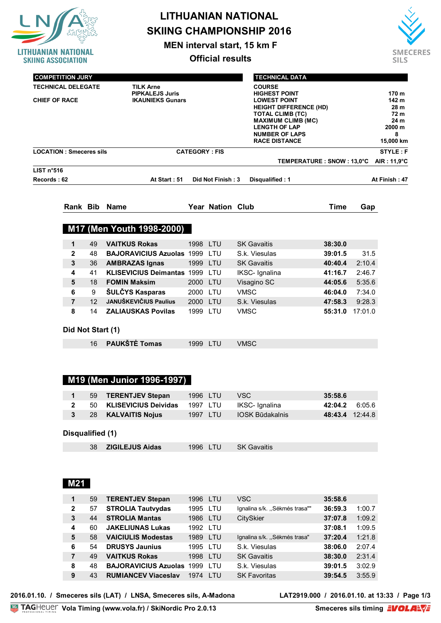| UANIAN NATIONAL<br><b>SKIING ASSOCIATION</b>                                                          |                   |                   |                                                                       |                      | <b>Official results</b> | <b>SKIING CHAMPIONSHIP 2016</b><br><b>MEN interval start, 15 km F</b>                                                                                                                                                                            |                            |             | <b>SMECERES</b><br><b>SILS</b>                                     |
|-------------------------------------------------------------------------------------------------------|-------------------|-------------------|-----------------------------------------------------------------------|----------------------|-------------------------|--------------------------------------------------------------------------------------------------------------------------------------------------------------------------------------------------------------------------------------------------|----------------------------|-------------|--------------------------------------------------------------------|
| <b>COMPETITION JURY</b><br><b>TECHNICAL DELEGATE</b><br><b>T.D. ASSISTANT</b><br><b>CHIEF OF RACE</b> |                   |                   | <b>TILK Arne</b><br><b>PIPKALEJS Juris</b><br><b>IKAUNIEKS Gunars</b> |                      |                         | <b>TECHNICAL DATA</b><br><b>COURSE</b><br><b>HIGHEST POINT</b><br><b>LOWEST POINT</b><br><b>HEIGHT DIFFERENCE (HD)</b><br>TOTAL CLIMB (TC)<br><b>MAXIMUM CLIMB (MC)</b><br><b>LENGTH OF LAP</b><br><b>NUMBER OF LAPS</b><br><b>RACE DISTANCE</b> |                            |             | 170 m<br>142 m<br>28 m<br>72 m<br>24 m<br>2000 m<br>8<br>15,000 km |
| <b>LOCATION: Smeceres sils</b>                                                                        |                   |                   |                                                                       | <b>CATEGORY: FIS</b> |                         |                                                                                                                                                                                                                                                  |                            |             | <b>STYLE: F</b>                                                    |
|                                                                                                       |                   |                   |                                                                       |                      |                         | TEMPERATURE : SNOW : 13,0°C                                                                                                                                                                                                                      |                            | AIR: 11,9°C |                                                                    |
| LIST n°516<br>Records: 62                                                                             |                   |                   | At Start: 51                                                          |                      | Did Not Finish: 3       | Disqualified: 1                                                                                                                                                                                                                                  |                            |             | At Finish: 47                                                      |
|                                                                                                       |                   |                   | Rank Bib Name                                                         |                      | <b>Year Nation Club</b> |                                                                                                                                                                                                                                                  | <b>Time</b>                | Gap         |                                                                    |
|                                                                                                       |                   |                   |                                                                       |                      |                         |                                                                                                                                                                                                                                                  |                            |             |                                                                    |
|                                                                                                       |                   |                   | M17 (Men Youth 1998-2000)                                             |                      |                         |                                                                                                                                                                                                                                                  |                            |             |                                                                    |
|                                                                                                       | 1                 | 49                | <b>VAITKUS Rokas</b>                                                  | 1998 LTU             |                         | <b>SK Gavaitis</b>                                                                                                                                                                                                                               | 38:30.0                    |             |                                                                    |
|                                                                                                       | $\mathbf{2}$      | 48                | <b>BAJORAVICIUS Azuolas 1999 LTU</b>                                  |                      |                         | S.k. Viesulas                                                                                                                                                                                                                                    | 39:01.5                    | 31.5        |                                                                    |
|                                                                                                       | 3                 | 36                | <b>AMBRAZAS Ignas</b>                                                 | 1999 LTU             |                         | <b>SK Gavaitis</b>                                                                                                                                                                                                                               | 40:40.4                    | 2:10.4      |                                                                    |
|                                                                                                       | 4                 | 41                | KLISEVICIUS Deimantas 1999 LTU                                        |                      |                         | IKSC- Ignalina                                                                                                                                                                                                                                   | 41:16.7                    | 2:46.7      |                                                                    |
|                                                                                                       | 5                 | 18                | <b>FOMIN Maksim</b>                                                   | 2000 LTU             |                         | Visagino SC                                                                                                                                                                                                                                      | 44:05.6                    | 5:35.6      |                                                                    |
|                                                                                                       | 6                 | 9                 | ŠULČYS Kasparas                                                       | 2000 LTU             |                         | <b>VMSC</b>                                                                                                                                                                                                                                      | 46:04.0                    | 7:34.0      |                                                                    |
|                                                                                                       | $\overline{7}$    | $12 \overline{ }$ | <b>JANUŠKEVIČIUS Paulius</b>                                          | 2000 LTU             |                         | S.k. Viesulas                                                                                                                                                                                                                                    | 47:58.3                    | 9:28.3      |                                                                    |
|                                                                                                       | 8                 | 14                | <b>ZALIAUSKAS Povilas</b>                                             | 1999 LTU             |                         | <b>VMSC</b>                                                                                                                                                                                                                                      | 55:31.0                    | 17:01.0     |                                                                    |
|                                                                                                       | Did Not Start (1) |                   |                                                                       |                      |                         |                                                                                                                                                                                                                                                  |                            |             |                                                                    |
|                                                                                                       |                   | 16                | <b>PAUKŠTĖ Tomas</b>                                                  |                      |                         |                                                                                                                                                                                                                                                  |                            |             |                                                                    |
|                                                                                                       |                   |                   |                                                                       | 1999 LTU             |                         | <b>VMSC</b>                                                                                                                                                                                                                                      |                            |             |                                                                    |
|                                                                                                       |                   |                   | M19 (Men Junior 1996-1997)                                            |                      |                         |                                                                                                                                                                                                                                                  |                            |             |                                                                    |
|                                                                                                       |                   |                   |                                                                       |                      |                         |                                                                                                                                                                                                                                                  |                            |             |                                                                    |
|                                                                                                       | 1                 | 59                | <b>TERENTJEV Stepan</b>                                               | 1996 LTU             |                         | <b>VSC</b>                                                                                                                                                                                                                                       | 35:58.6                    |             |                                                                    |
|                                                                                                       | $\mathbf{2}$<br>3 | 50<br>28          | <b>KLISEVICIUS Deividas</b>                                           | 1997 LTU<br>1997 LTU |                         | IKSC- Ignalina<br><b>IOSK Būdakalnis</b>                                                                                                                                                                                                         | 42:04.2<br>48:43.4 12:44.8 | 6:05.6      |                                                                    |
|                                                                                                       |                   |                   | <b>KALVAITIS Nojus</b>                                                |                      |                         |                                                                                                                                                                                                                                                  |                            |             |                                                                    |
|                                                                                                       | Disqualified (1)  |                   |                                                                       |                      |                         |                                                                                                                                                                                                                                                  |                            |             |                                                                    |
|                                                                                                       |                   | 38                | <b>ZIGILEJUS Aidas</b>                                                | 1996 LTU             |                         | <b>SK Gavaitis</b>                                                                                                                                                                                                                               |                            |             |                                                                    |
|                                                                                                       |                   |                   |                                                                       |                      |                         |                                                                                                                                                                                                                                                  |                            |             |                                                                    |
|                                                                                                       |                   |                   |                                                                       |                      |                         |                                                                                                                                                                                                                                                  |                            |             |                                                                    |
|                                                                                                       | M21               |                   |                                                                       |                      |                         |                                                                                                                                                                                                                                                  |                            |             |                                                                    |
|                                                                                                       |                   |                   |                                                                       |                      |                         |                                                                                                                                                                                                                                                  |                            |             |                                                                    |
|                                                                                                       | 1                 | 59                | <b>TERENTJEV Stepan</b>                                               | 1996 LTU             |                         | <b>VSC</b>                                                                                                                                                                                                                                       | 35:58.6                    |             |                                                                    |

|                |    |                                  |          |            |                               | .       |        |
|----------------|----|----------------------------------|----------|------------|-------------------------------|---------|--------|
| $\overline{2}$ | 57 | <b>STROLIA Tautvydas</b>         | 1995 LTU |            | Ignalina s/k. "Sėkmės trasa"" | 36:59.3 | 1:00.7 |
| 3              | 44 | <b>STROLIA Mantas</b>            | 1986 LTU |            | CitySkier                     | 37:07.8 | 1:09.2 |
| 4              | 60 | <b>JAKELIUNAS Lukas</b>          | 1992 LTU |            |                               | 37:08.1 | 1:09.5 |
| 5              | 58 | <b>VAICIULIS Modestas</b>        | 1989     | <b>LTU</b> | Ignalina s/k. "Sėkmės trasa"  | 37:20.4 | 1:21.8 |
| 6              | 54 | <b>DRUSYS Jaunius</b>            | 1995 LTU |            | S.k. Viesulas                 | 38:06.0 | 2:07.4 |
| 7              | 49 | <b>VAITKUS Rokas</b>             | 1998     | <b>LTU</b> | <b>SK Gavaitis</b>            | 38:30.0 | 2:31.4 |
| 8              | 48 | <b>BAJORAVICIUS Azuolas 1999</b> |          | TU.        | S.k. Viesulas                 | 39:01.5 | 3:02.9 |
| 9              | 43 | <b>RUMIANCEV Viaceslav</b>       | 1974     | TU.        | <b>SK Favoritas</b>           | 39:54.5 | 3:55.9 |
|                |    |                                  |          |            |                               |         |        |

2016.01.10. / Smeceres sils (LAT) / LNSA, Smeceres sils, A-Madona

**LAT2919.000** / 2016.01.10. at 13:33 / Page 1/3<br>Smeceres sils timing  $EVALU$ 

Ī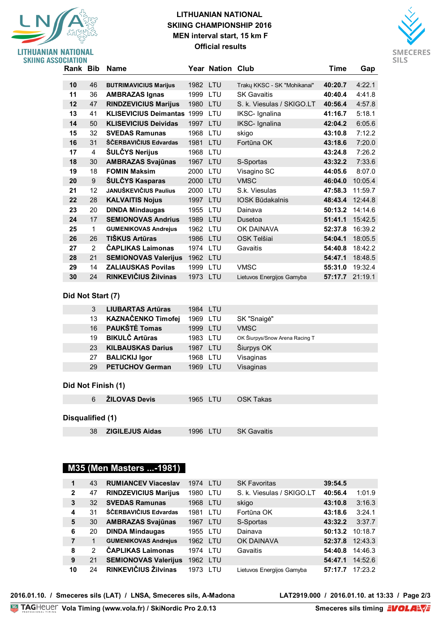## **LITHUANIAN NATIONAL SKIING CHAMPIONSHIP 2016 MEN interval start, 15 km F Official results**



| <b>SKIING ASSOCIATION</b> |          |                |                                   |          |                  |                             |         |                 |
|---------------------------|----------|----------------|-----------------------------------|----------|------------------|-----------------------------|---------|-----------------|
|                           | Rank Bib |                | Name                              |          | Year Nation Club |                             | Time    | Gap             |
|                           |          | 46             |                                   |          |                  |                             |         | 4:22.1          |
|                           | 10       |                | <b>BUTRIMAVICIUS Marijus</b>      | 1982 LTU |                  | Traky KKSC - SK "Mohikanai" | 40:20.7 |                 |
|                           | 11       | 36             | <b>AMBRAZAS Ignas</b>             | 1999     | LTU              | <b>SK Gavaitis</b>          | 40:40.4 | 4:41.8          |
|                           | 12       | 47             | <b>RINDZEVICIUS Marijus</b>       | 1980     | <b>LTU</b>       | S. k. Viesulas / SKIGO.LT   | 40:56.4 | 4:57.8          |
|                           | 13       | 41             | <b>KLISEVICIUS Deimantas 1999</b> |          | LTU              | IKSC- Ignalina              | 41:16.7 | 5:18.1          |
|                           | 14       | 50             | <b>KLISEVICIUS Deividas</b>       | 1997     | LTU              | IKSC- Ignalina              | 42:04.2 | 6:05.6          |
|                           | 15       | 32             | <b>SVEDAS Ramunas</b>             | 1968     | LTU              | skigo                       | 43:10.8 | 7:12.2          |
|                           | 16       | 31             | ŠČERBAVIČIUS Edvardas             | 1981     | LTU              | Fortūna OK                  | 43:18.6 | 7:20.0          |
|                           | 17       | $\overline{4}$ | <b>ŠULČYS Nerijus</b>             | 1968     | LTU              |                             | 43:24.8 | 7:26.2          |
|                           | 18       | 30             | <b>AMBRAZAS Svajūnas</b>          | 1967     | LTU              | S-Sportas                   | 43:32.2 | 7:33.6          |
|                           | 19       | 18             | <b>FOMIN Maksim</b>               | 2000     | LTU              | Visagino SC                 | 44:05.6 | 8:07.0          |
|                           | 20       | 9              | <b>ŠULČYS Kasparas</b>            | 2000     | LTU              | <b>VMSC</b>                 | 46:04.0 | 10:05.4         |
|                           | 21       | 12             | JANUŠKEVIČIUS Paulius             | 2000     | LTU              | S.k. Viesulas               | 47:58.3 | 11:59.7         |
|                           | 22       | 28             | <b>KALVAITIS Nojus</b>            | 1997     | LTU              | <b>IOSK Būdakalnis</b>      |         | 48:43.4 12:44.8 |
|                           | 23       | 20             | <b>DINDA Mindaugas</b>            | 1955     | LTU              | Dainava                     | 50:13.2 | 14:14.6         |
|                           | 24       | 17             | <b>SEMIONOVAS Andrius</b>         | 1989     | LTU              | Dusetoa                     | 51:41.1 | 15:42.5         |
|                           | 25       | 1              | <b>GUMENIKOVAS Andrejus</b>       | 1962     | LTU              | OK DAINAVA                  | 52:37.8 | 16:39.2         |
|                           | 26       | 26             | TIŠKUS Artūras                    | 1986     | LTU              | OSK Telšiai                 | 54:04.1 | 18:05.5         |
|                           | 27       | $\overline{2}$ | <b>CAPLIKAS Laimonas</b>          | 1974     | LTU              | Gavaitis                    | 54:40.8 | 18:42.2         |
|                           | 28       | 21             | <b>SEMIONOVAS Valerijus</b>       | 1962     | LTU              |                             | 54:47.1 | 18:48.5         |
|                           | 29       | 14             | <b>ZALIAUSKAS Povilas</b>         | 1999     | <b>LTU</b>       | <b>VMSC</b>                 | 55:31.0 | 19:32.4         |
|                           | 30       | 24             | RINKEVIČIUS Žilvinas              | 1973 LTU |                  | Lietuvos Energijos Gamyba   |         | 57:17.7 21:19.1 |

#### **Did Not Start (7)**

LITHUANIAN NATIONAL

|                    | 3  | <b>LIUBARTAS Artūras</b> | 1984 LTU |                                |
|--------------------|----|--------------------------|----------|--------------------------------|
|                    | 13 | KAZNAČENKO Timofej       | 1969 LTU | SK "Snaigė"                    |
|                    | 16 | <b>PAUKŠTĖ Tomas</b>     | 1999 LTU | <b>VMSC</b>                    |
|                    | 19 | <b>BIKULČ Artūras</b>    | 1983 LTU | OK Šiurpys/Snow Arena Racing T |
|                    | 23 | <b>KILBAUSKAS Darius</b> | 1987 LTU | Šiurpys OK                     |
|                    | 27 | <b>BALICKIJ Igor</b>     | 1968 LTU | Visaginas                      |
|                    | 29 | <b>PETUCHOV German</b>   | 1969 LTU | Visaginas                      |
|                    |    |                          |          |                                |
| Did Nat Einiah (4) |    |                          |          |                                |

#### **Did Not Finish (1)**

|                  |    | 6 <b>ZILOVAS Devis</b> | 1965 LTU | OSK Takas          |
|------------------|----|------------------------|----------|--------------------|
| Disqualified (1) |    |                        |          |                    |
|                  | 38 | ZIGILEJUS Aidas        | 1996 LTU | <b>SK Gavaitis</b> |

## **M35 (Men Masters ...-1981)**

| $\blacktriangleleft$ | 43 | <b>RUMIANCEV Viaceslav</b>  | 1974 LTU |            | <b>SK Favoritas</b>       | 39:54.5 |         |
|----------------------|----|-----------------------------|----------|------------|---------------------------|---------|---------|
| $\mathbf{2}$         | 47 | <b>RINDZEVICIUS Marijus</b> | 1980     | <b>LTU</b> | S. k. Viesulas / SKIGO.LT | 40:56.4 | 1:01.9  |
| 3                    | 32 | <b>SVEDAS Ramunas</b>       | 1968     | <b>LTU</b> | skigo                     | 43:10.8 | 3:16.3  |
| 4                    | 31 | ŠČERBAVIČIUS Edvardas       | 1981     | LTU        | Fortūna OK                | 43:18.6 | 3:24.1  |
| 5                    | 30 | <b>AMBRAZAS Svajūnas</b>    | 1967 LTU |            | S-Sportas                 | 43:32.2 | 3:37.7  |
| 6                    | 20 | <b>DINDA Mindaugas</b>      | 1955 LTU |            | Dainava                   | 50:13.2 | 10:18.7 |
| 7                    | 1  | <b>GUMENIKOVAS Andrejus</b> | 1962 LTU |            | OK DAINAVA                | 52:37.8 | 12:43.3 |
| 8                    | 2  | <b>ČAPLIKAS Laimonas</b>    | 1974 LTU |            | Gavaitis                  | 54:40.8 | 14:46.3 |
| 9                    | 21 | <b>SEMIONOVAS Valerijus</b> | 1962 LTU |            |                           | 54:47.1 | 14:52.6 |
| 10                   | 24 | RINKEVIČIUS Žilvinas        | 1973     | T TU       | Lietuvos Energijos Gamyba | 57:17.7 | 17:23.2 |

2016.01.10. / Smeceres sils (LAT) / LNSA, Smeceres sils, A-Madona

**LAT2919.000** / 2016.01.10. at 13:33 / Page 2/3<br>Smeceres sils timing **EVOLARVE**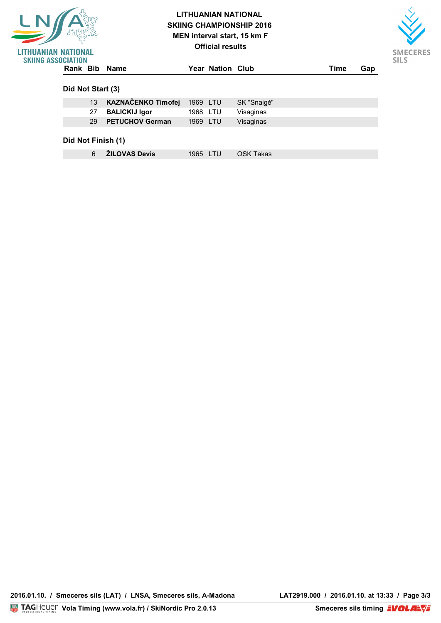| 었                                                    | <b>LITHUANIAN NATIONAL</b><br><b>SKIING CHAMPIONSHIP 2016</b><br>MEN interval start, 15 km F |          |                         |             |      |     |
|------------------------------------------------------|----------------------------------------------------------------------------------------------|----------|-------------------------|-------------|------|-----|
| <b>IIANIAN NATIONAL</b><br><b>SKIING ASSOCIATION</b> |                                                                                              |          | <b>Official results</b> |             |      |     |
| Rank Bib Name                                        |                                                                                              |          | Year Nation Club        |             | Time | Gap |
| Did Not Start (3)                                    |                                                                                              |          |                         |             |      |     |
|                                                      |                                                                                              |          |                         |             |      |     |
| 13                                                   | <b>KAZNAČENKO Timofej</b>                                                                    | 1969 LTU |                         | SK "Snaigė" |      |     |
| 27                                                   | <b>BALICKIJ Igor</b>                                                                         | 1968 LTU |                         | Visaginas   |      |     |

**LOCATION : Smeceres sils CATEGORY : FIS STYLE : F** 6 **ŽILOVAS Devis** 1965 LTU OSK Takas

SMECERES **SILS**